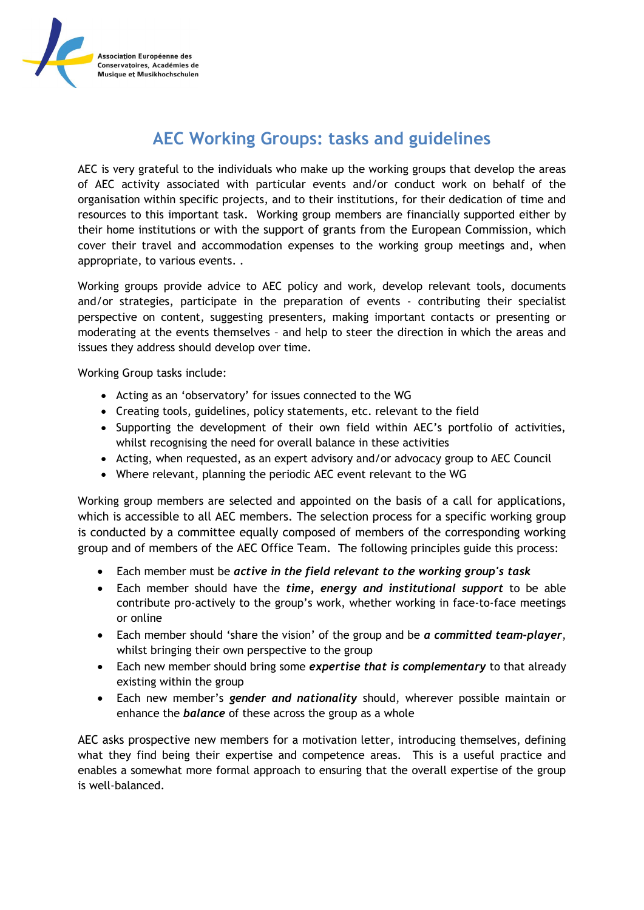

## **AEC Working Groups: tasks and guidelines**

AEC is very grateful to the individuals who make up the working groups that develop the areas of AEC activity associated with particular events and/or conduct work on behalf of the organisation within specific projects, and to their institutions, for their dedication of time and resources to this important task. Working group members are financially supported either by their home institutions or with the support of grants from the European Commission, which cover their travel and accommodation expenses to the working group meetings and, when appropriate, to various events. .

Working groups provide advice to AEC policy and work, develop relevant tools, documents and/or strategies, participate in the preparation of events - contributing their specialist perspective on content, suggesting presenters, making important contacts or presenting or moderating at the events themselves – and help to steer the direction in which the areas and issues they address should develop over time.

Working Group tasks include:

- Acting as an 'observatory' for issues connected to the WG
- Creating tools, guidelines, policy statements, etc. relevant to the field
- Supporting the development of their own field within AEC's portfolio of activities, whilst recognising the need for overall balance in these activities
- Acting, when requested, as an expert advisory and/or advocacy group to AEC Council
- Where relevant, planning the periodic AEC event relevant to the WG

Working group members are selected and appointed on the basis of a call for applications, which is accessible to all AEC members. The selection process for a specific working group is conducted by a committee equally composed of members of the corresponding working group and of members of the AEC Office Team. The following principles guide this process:

- Each member must be *active in the field relevant to the working group's task*
- Each member should have the *time, energy and institutional support* to be able contribute pro-actively to the group's work, whether working in face-to-face meetings or online
- Each member should 'share the vision' of the group and be *a committed team-player*, whilst bringing their own perspective to the group
- Each new member should bring some *expertise that is complementary* to that already existing within the group
- Each new member's *gender and nationality* should, wherever possible maintain or enhance the *balance* of these across the group as a whole

AEC asks prospective new members for a motivation letter, introducing themselves, defining what they find being their expertise and competence areas. This is a useful practice and enables a somewhat more formal approach to ensuring that the overall expertise of the group is well-balanced.